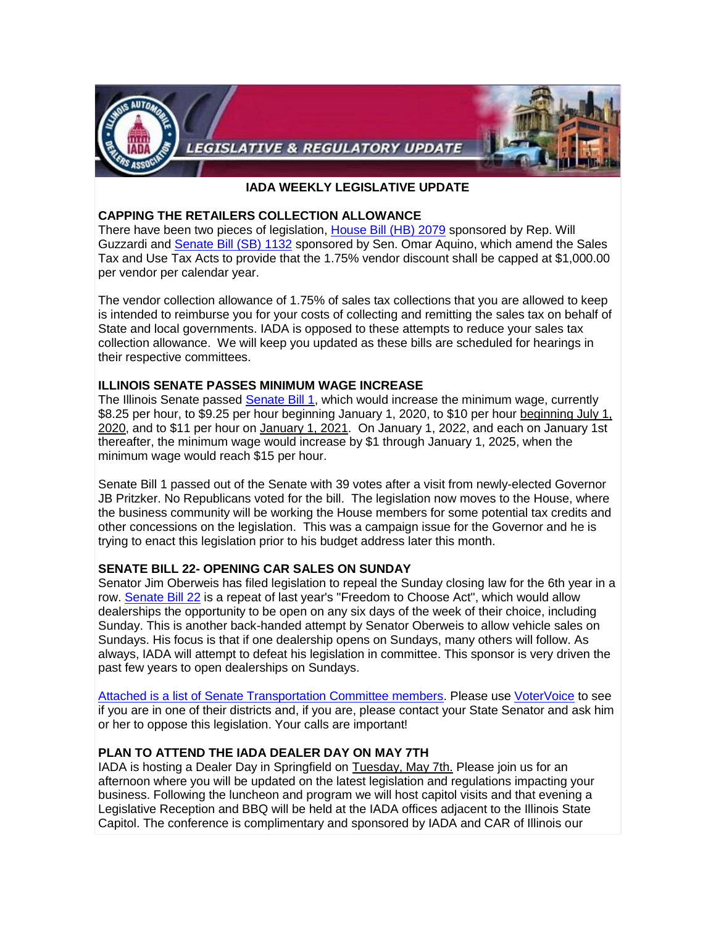

### **IADA WEEKLY LEGISLATIVE UPDATE**

### **CAPPING THE RETAILERS COLLECTION ALLOWANCE**

There have been two pieces of legislation, [House Bill \(HB\) 2079](https://www.votervoice.net/BroadcastLinks/Rq0EhG7uYpe9bF4TUUZTtA) sponsored by Rep. Will Guzzardi and [Senate Bill \(SB\) 1132](https://www.votervoice.net/BroadcastLinks/7mr1TfQo6GLoDVl3xdXz4Q) sponsored by Sen. Omar Aquino, which amend the Sales Tax and Use Tax Acts to provide that the 1.75% vendor discount shall be capped at \$1,000.00 per vendor per calendar year.

The vendor collection allowance of 1.75% of sales tax collections that you are allowed to keep is intended to reimburse you for your costs of collecting and remitting the sales tax on behalf of State and local governments. IADA is opposed to these attempts to reduce your sales tax collection allowance. We will keep you updated as these bills are scheduled for hearings in their respective committees.

### **ILLINOIS SENATE PASSES MINIMUM WAGE INCREASE**

The Illinois Senate passed [Senate Bill 1,](https://www.votervoice.net/BroadcastLinks/Tyxd7-U64FXDHcQrX9hjyw) which would increase the minimum wage, currently \$8.25 per hour, to \$9.25 per hour beginning January 1, 2020, to \$10 per hour beginning July 1, 2020, and to \$11 per hour on January 1, 2021. On January 1, 2022, and each on January 1st thereafter, the minimum wage would increase by \$1 through January 1, 2025, when the minimum wage would reach \$15 per hour.

Senate Bill 1 passed out of the Senate with 39 votes after a visit from newly-elected Governor JB Pritzker. No Republicans voted for the bill. The legislation now moves to the House, where the business community will be working the House members for some potential tax credits and other concessions on the legislation. This was a campaign issue for the Governor and he is trying to enact this legislation prior to his budget address later this month.

# **SENATE BILL 22- OPENING CAR SALES ON SUNDAY**

Senator Jim Oberweis has filed legislation to repeal the Sunday closing law for the 6th year in a row. [Senate Bill 22](https://www.votervoice.net/BroadcastLinks/R0ZfYg1IK_YlEyUwuiYoyw) is a repeat of last year's "Freedom to Choose Act", which would allow dealerships the opportunity to be open on any six days of the week of their choice, including Sunday. This is another back-handed attempt by Senator Oberweis to allow vehicle sales on Sundays. His focus is that if one dealership opens on Sundays, many others will follow. As always, IADA will attempt to defeat his legislation in committee. This sponsor is very driven the past few years to open dealerships on Sundays.

[Attached is a list of Senate Transportation Committee members.](https://www.votervoice.net/BroadcastLinks/pWVgCK8ga9mOMKtLwtz5YA) Please use [VoterVoice](https://www.votervoice.net/BroadcastLinks/MwIFPPalPo3Ztwk_DQt_Ng) to see if you are in one of their districts and, if you are, please contact your State Senator and ask him or her to oppose this legislation. Your calls are important!

# **PLAN TO ATTEND THE IADA DEALER DAY ON MAY 7TH**

IADA is hosting a Dealer Day in Springfield on Tuesday, May 7th. Please join us for an afternoon where you will be updated on the latest legislation and regulations impacting your business. Following the luncheon and program we will host capitol visits and that evening a Legislative Reception and BBQ will be held at the IADA offices adjacent to the Illinois State Capitol. The conference is complimentary and sponsored by IADA and CAR of Illinois our